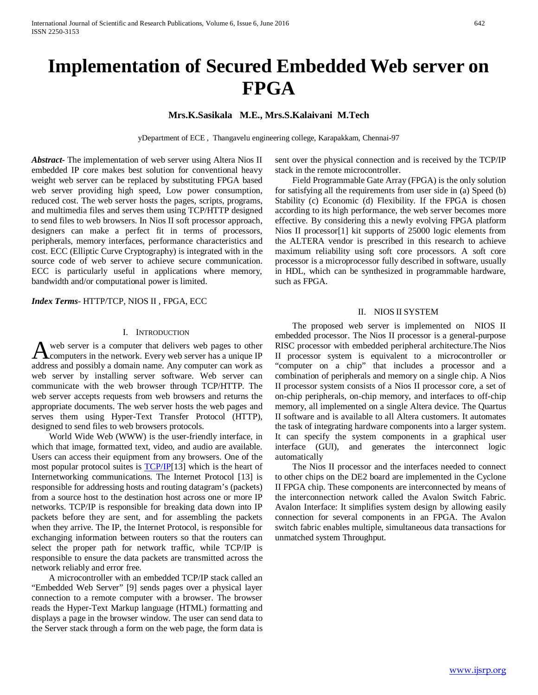# **Implementation of Secured Embedded Web server on FPGA**

**Mrs.K.Sasikala M.E., Mrs.S.Kalaivani M.Tech**

yDepartment of ECE , Thangavelu engineering college, Karapakkam, Chennai-97

*Abstract***-** The implementation of web server using Altera Nios II embedded IP core makes best solution for conventional heavy weight web server can be replaced by substituting FPGA based web server providing high speed, Low power consumption, reduced cost. The web server hosts the pages, scripts, programs, and multimedia files and serves them using TCP/HTTP designed to send files to web browsers. In Nios II soft processor approach, designers can make a perfect fit in terms of processors, peripherals, memory interfaces, performance characteristics and cost. ECC (Elliptic Curve Cryptography) is integrated with in the source code of web server to achieve secure communication. ECC is particularly useful in applications where memory, bandwidth and/or computational power is limited.

*Index Terms*- HTTP/TCP, NIOS II , FPGA, ECC

#### I. INTRODUCTION

web server is a computer that delivers web pages to other computers in the network. Every web server has a unique IP A web server is a computer that delivers web pages to other computers in the network. Every web server has a unique IP address and possibly a domain name. Any computer can work as web server by installing server software. Web server can communicate with the web browser through TCP/HTTP. The web server accepts requests from web browsers and returns the appropriate documents. The web server hosts the web pages and serves them using Hyper-Text Transfer Protocol (HTTP), designed to send files to web browsers protocols.

 World Wide Web (WWW) is the user-friendly interface, in which that image, formatted text, video, and audio are available. Users can access their equipment from any browsers. One of the most popular protocol suites is **TCP/IP**[13] which is the heart of Internetworking communications. The Internet Protocol [13] is responsible for addressing hosts and routing datagram's (packets) from a source host to the destination host across one or more IP networks. TCP/IP is responsible for breaking data down into IP packets before they are sent, and for assembling the packets when they arrive. The IP, the Internet Protocol, is responsible for exchanging information between routers so that the routers can select the proper path for network traffic, while TCP/IP is responsible to ensure the data packets are transmitted across the network reliably and error free.

 A microcontroller with an embedded TCP/IP stack called an "Embedded Web Server" [9] sends pages over a physical layer connection to a remote computer with a browser. The browser reads the Hyper-Text Markup language (HTML) formatting and displays a page in the browser window. The user can send data to the Server stack through a form on the web page, the form data is sent over the physical connection and is received by the TCP/IP stack in the remote microcontroller.

 Field Programmable Gate Array (FPGA) is the only solution for satisfying all the requirements from user side in (a) Speed (b) Stability (c) Economic (d) Flexibility. If the FPGA is chosen according to its high performance, the web server becomes more effective. By considering this a newly evolving FPGA platform Nios II processor[1] kit supports of 25000 logic elements from the ALTERA vendor is prescribed in this research to achieve maximum reliability using soft core processors. A soft core processor is a microprocessor fully described in software, usually in HDL, which can be synthesized in programmable hardware, such as FPGA.

#### II. NIOS II SYSTEM

 The proposed web server is implemented on NIOS II embedded processor. The Nios II processor is a general-purpose RISC processor with embedded peripheral architecture.The Nios II processor system is equivalent to a microcontroller or "computer on a chip" that includes a processor and a combination of peripherals and memory on a single chip. A Nios II processor system consists of a Nios II processor core, a set of on-chip peripherals, on-chip memory, and interfaces to off-chip memory, all implemented on a single Altera device. The Quartus II software and is available to all Altera customers. It automates the task of integrating hardware components into a larger system. It can specify the system components in a graphical user interface (GUI), and generates the interconnect logic automatically

 The Nios II processor and the interfaces needed to connect to other chips on the DE2 board are implemented in the Cyclone II FPGA chip. These components are interconnected by means of the interconnection network called the Avalon Switch Fabric. Avalon Interface: It simplifies system design by allowing easily connection for several components in an FPGA. The Avalon switch fabric enables multiple, simultaneous data transactions for unmatched system Throughput.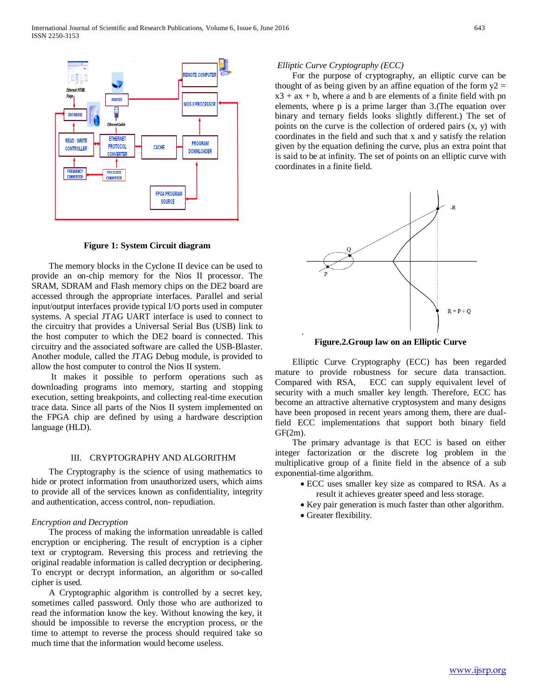

**Figure 1: System Circuit diagram**

 The memory blocks in the Cyclone II device can be used to provide an on-chip memory for the Nios II processor. The SRAM, SDRAM and Flash memory chips on the DE2 board are accessed through the appropriate interfaces. Parallel and serial input/output interfaces provide typical I/O ports used in computer systems. A special JTAG UART interface is used to connect to the circuitry that provides a Universal Serial Bus (USB) link to the host computer to which the DE2 board is connected. This circuitry and the associated software are called the USB-Blaster. Another module, called the JTAG Debug module, is provided to allow the host computer to control the Nios II system.

 It makes it possible to perform operations such as downloading programs into memory, starting and stopping execution, setting breakpoints, and collecting real-time execution trace data. Since all parts of the Nios II system implemented on the FPGA chip are defined by using a hardware description language (HLD).

#### III. CRYPTOGRAPHY AND ALGORITHM

 The Cryptography is the science of using mathematics to hide or protect information from unauthorized users, which aims to provide all of the services known as confidentiality, integrity and authentication, access control, non- repudiation.

#### *Encryption and Decryption*

 The process of making the information unreadable is called encryption or enciphering. The result of encryption is a cipher text or cryptogram. Reversing this process and retrieving the original readable information is called decryption or deciphering. To encrypt or decrypt information, an algorithm or so-called cipher is used.

 A Cryptographic algorithm is controlled by a secret key, sometimes called password. Only those who are authorized to read the information know the key. Without knowing the key, it should be impossible to reverse the encryption process, or the time to attempt to reverse the process should required take so much time that the information would become useless.

#### *Elliptic Curve Cryptography (ECC)*

 For the purpose of cryptography, an elliptic curve can be thought of as being given by an affine equation of the form  $y2 =$  $x3 + ax + b$ , where a and b are elements of a finite field with pn elements, where p is a prime larger than 3.(The equation over binary and ternary fields looks slightly different.) The set of points on the curve is the collection of ordered pairs (x, y) with coordinates in the field and such that x and y satisfy the relation given by the equation defining the curve, plus an extra point that is said to be at infinity. The set of points on an elliptic curve with coordinates in a finite field.



**Figure.2.Group law on an Elliptic Curve**

 Elliptic Curve Cryptography (ECC) has been regarded mature to provide robustness for secure data transaction. Compared with RSA, ECC can supply equivalent level of security with a much smaller key length. Therefore, ECC has become an attractive alternative cryptosystem and many designs have been proposed in recent years among them, there are dualfield ECC implementations that support both binary field GF(2m).

 The primary advantage is that ECC is based on either integer factorization or the discrete log problem in the multiplicative group of a finite field in the absence of a sub exponential-time algorithm.

- ECC uses smaller key size as compared to RSA. As a result it achieves greater speed and less storage.
- Key pair generation is much faster than other algorithm.
- Greater flexibility.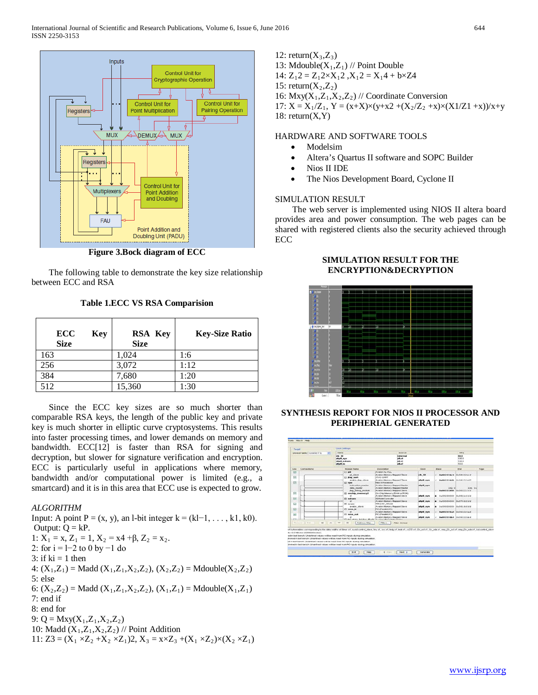

**Figure 3.Bock diagram of ECC**

 The following table to demonstrate the key size relationship between ECC and RSA

**Table 1.ECC VS RSA Comparision**

| <b>ECC</b><br>Key<br><b>Size</b> | <b>RSA Key</b><br><b>Size</b> | <b>Key-Size Ratio</b> |
|----------------------------------|-------------------------------|-----------------------|
| 163                              | 1,024                         | 1:6                   |
| 256                              | 3,072                         | 1:12                  |
| 384                              | 7,680                         | 1:20                  |
| 512                              | 15,360                        | 1:30                  |

 Since the ECC key sizes are so much shorter than comparable RSA keys, the length of the public key and private key is much shorter in elliptic curve cryptosystems. This results into faster processing times, and lower demands on memory and bandwidth. ECC[12] is faster than RSA for signing and decryption, but slower for signature verification and encryption. ECC is particularly useful in applications where memory, bandwidth and/or computational power is limited (e.g., a smartcard) and it is in this area that ECC use is expected to grow.

## *ALGORITHM*

Input: A point  $P = (x, y)$ , an l-bit integer  $k = (kl-1, \ldots, k1, k0)$ . Output:  $Q = kP$ . 1:  $X_1 = x$ ,  $Z_1 = 1$ ,  $X_2 = x4 + \beta$ ,  $Z_2 = x_2$ . 2: for i = l−2 to 0 by −1 do 3: if  $ki = 1$  then 4:  $(X_1, Z_1)$  = Madd  $(X_1, Z_1, X_2, Z_2)$ ,  $(X_2, Z_2)$  = Mdouble $(X_2, Z_2)$ 5: else 6:  $(X_2, Z_2)$  = Madd  $(X_1, Z_1, X_2, Z_2)$ ,  $(X_1, Z_1)$  = Mdouble $(X_1, Z_1)$ 7: end if 8: end for 9: Q = Mxy $(X_1, Z_1, X_2, Z_2)$ 10: Madd  $(X_1, Z_1, X_2, Z_2)$  // Point Addition 11:  $Z3 = (X_1 \times Z_2 + X_2 \times Z_1)2$ ,  $X_3 = x \times Z_3 + (X_1 \times Z_2) \times (X_2 \times Z_1)$ 

12: return(X3,Z3) 13: Mdouble(X1,Z1) // Point Double 14: Z12 = Z12×X12 ,X12 = X14 + b×Z4 15: return(X2,Z2) 16: Mxy(X1,Z1,X2,Z2) // Coordinate Conversion 17: X = X1/Z1, Y = (x+X)×(y+x2 +(X2/Z2 +x)×(X1/Z1 +x))/x+y 18: return(X,Y)

#### HARDWARE AND SOFTWARE TOOLS

- Modelsim
- Altera's Quartus II software and SOPC Builder
- Nios II IDE
- The Nios Development Board, Cyclone II

#### SIMULATION RESULT

 The web server is implemented using NIOS II altera board provides area and power consumption. The web pages can be shared with registered clients also the security achieved through ECC



## **SIMULATION RESULT FOR THE ENCRYPTION&DECRYPTION**

**SYNTHESIS REPORT FOR NIOS II PROCESSOR AND PERIPHERIAL GENERATED**

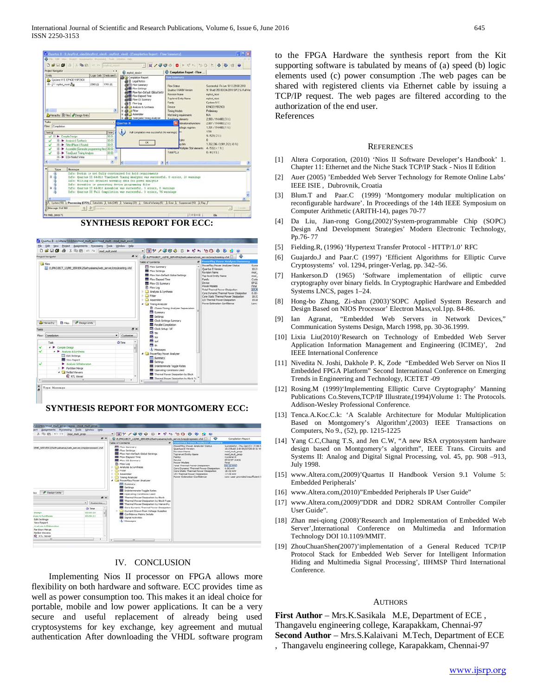

### **SYNTHESIS REPORT FOR ECC:**



#### **SYNTHESIS REPORT FOR MONTGOMERY ECC:**



#### IV. CONCLUSION

 Implementing Nios II processor on FPGA allows more flexibility on both hardware and software. ECC provides time as well as power consumption too. This makes it an ideal choice for portable, mobile and low power applications. It can be a very secure and useful replacement of already being used cryptosystems for key exchange, key agreement and mutual authentication After downloading the VHDL software program to the FPGA Hardware the synthesis report from the Kit supporting software is tabulated by means of (a) speed (b) logic elements used (c) power consumption .The web pages can be shared with registered clients via Ethernet cable by issuing a TCP/IP request. The web pages are filtered according to the authorization of the end user. References

#### **REFERENCES**

- [1] Altera Corporation, (2010) 'Nios II Software Developer's Handbook' 1. Chapter 11: Ethernet and the Niche Stack TCP/IP Stack - Nios II Edition
- [2] Auer (2005) 'Embedded Web Server Technology for Remote Online Labs' IEEE ISIE , Dubrovnik, Croatia
- [3] Blum.T and Paar.C (1999) 'Montgomery modular multiplication on reconfigurable hardware'. In Proceedings of the 14th IEEE Symposium on Computer Arithmetic (ARITH-14), pages 70-77
- [4] Da Liu, Jian-rong Gong,(2002)'System-programmable Chip (SOPC) Design And Development Strategies' Modern Electronic Technology, Pp.76- 77
- [5] Fielding.R, (1996) 'Hypertext Transfer Protocol HTTP/1.0' RFC
- [6] Guajardo.J and Paar.C (1997) 'Efficient Algorithms for Elliptic Curve Cryptosystems' vol. 1294, pringer-Verlag, pp. 342–56.
- [7] Hankerson.D (1965) 'Software implementation of elliptic curve cryptography over binary fields. In Cryptographic Hardware and Embedded Systems LNCS, pages 1–24.
- [8] Hong-bo Zhang, Zi-shan (2003)'SOPC Applied System Research and Design Based on NIOS Processor' Electron Mass,vol.1pp. 84-86.
- [9] Ian Agranat, "Embedded Web Servers in Network Devices," Communication Systems Design, March 1998, pp. 30-36.1999.
- [10] Lixia Liu(2010)'Research on Technology of Embedded Web Server Application Information Management and Engineering (ICIME)', 2nd IEEE International Conference
- [11] Nivedita N. Joshi, Dakhole P. K, Zode "Embedded Web Server on Nios II Embedded FPGA Platform" Second International Conference on Emerging Trends in Engineering and Technology, ICETET -09
- [12] Rosing.M (1999)'Implementing Elliptic Curve Cryptography' Manning Publications Co.Stevens,TCP/IP Illustrate,(1994)Volume 1: The Protocols. Addison-Wesley Professional Conference.
- [13] Tenca.A.Koc.C.k: 'A Scalable Architecture for Modular Multiplication Based on Montgomery's Algorithm',(2003) IEEE Transactions on Computers, No 9., (52), pp. 1215-1225
- [14] Yang C.C,Chang T.S, and Jen C.W, "A new RSA cryptosystem hardware design based on Montgomery's algorithm", IEEE Trans. Circuits and Systems II: Analog and Digital Signal Processing, vol. 45, pp. 908 –913, July 1998.
- [15] www.Altera.com,(2009)'Quartus II Handbook Version 9.1 Volume 5: Embedded Peripherals'
- [16] www.Altera.com,(2010)"Embedded Peripherals IP User Guide"
- [17] www.Altera.com,(2009)"DDR and DDR2 SDRAM Controller Compiler User Guide".
- [18] Zhan mei-qiong (2008)'Research and Implementation of Embedded Web Server',International Conference on Multimedia and Information Technology DOI 10.1109/MMIT.
- [19] ZhouChuanShen(2007)'implementation of a General Reduced TCP/IP Protocol Stack for Embedded Web Server for Intelligent Information Hiding and Multimedia Signal Processing', IIHMSP Third International Conference.

#### AUTHORS

**First Author** – Mrs.K.Sasikala M.E, Department of ECE , Thangavelu engineering college, Karapakkam, Chennai-97 **Second Author** – Mrs.S.Kalaivani M.Tech, Department of ECE , Thangavelu engineering college, Karapakkam, Chennai-97